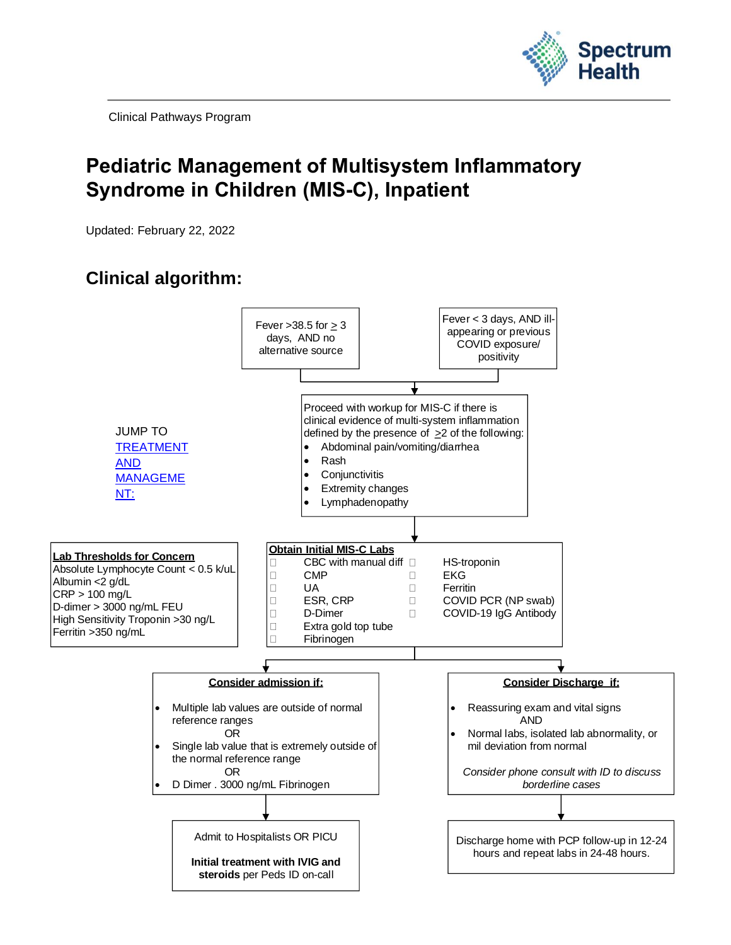

Clinical Pathways Program

# **Pediatric Management of Multisystem Inflammatory Syndrome in Children (MIS-C), Inpatient**

Updated: February 22, 2022

# **Clinical algorithm:**

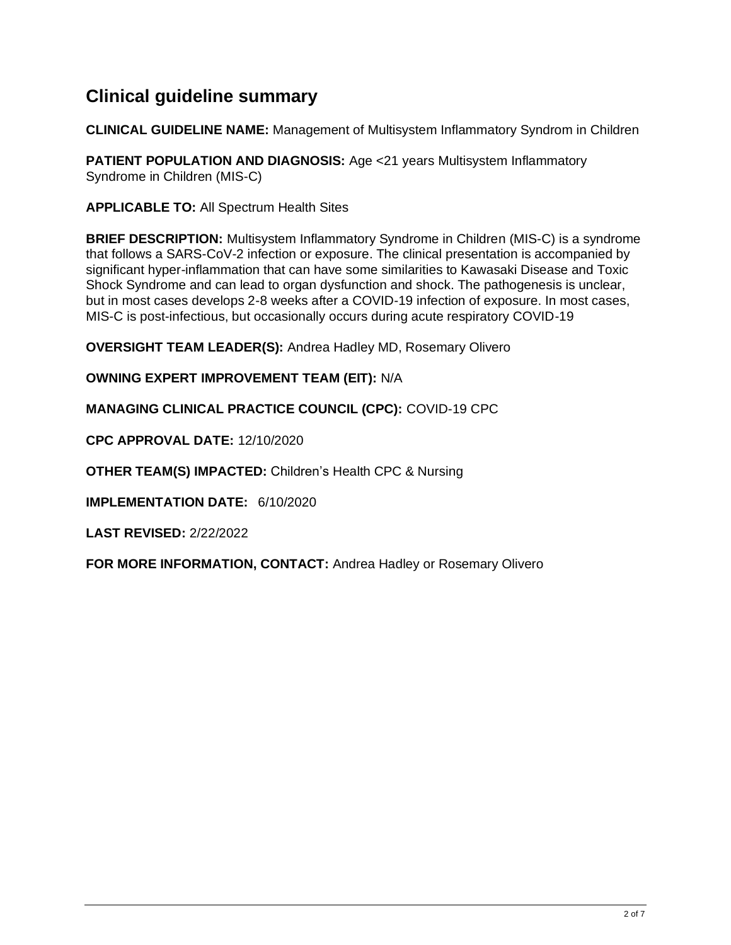## **Clinical guideline summary**

**CLINICAL GUIDELINE NAME:** Management of Multisystem Inflammatory Syndrom in Children

**PATIENT POPULATION AND DIAGNOSIS:** Age <21 years Multisystem Inflammatory Syndrome in Children (MIS-C)

**APPLICABLE TO:** All Spectrum Health Sites

**BRIEF DESCRIPTION:** Multisystem Inflammatory Syndrome in Children (MIS-C) is a syndrome that follows a SARS-CoV-2 infection or exposure. The clinical presentation is accompanied by significant hyper-inflammation that can have some similarities to Kawasaki Disease and Toxic Shock Syndrome and can lead to organ dysfunction and shock. The pathogenesis is unclear, but in most cases develops 2-8 weeks after a COVID-19 infection of exposure. In most cases, MIS-C is post-infectious, but occasionally occurs during acute respiratory COVID-19

**OVERSIGHT TEAM LEADER(S):** Andrea Hadley MD, Rosemary Olivero

**OWNING EXPERT IMPROVEMENT TEAM (EIT):** N/A

**MANAGING CLINICAL PRACTICE COUNCIL (CPC):** COVID-19 CPC

**CPC APPROVAL DATE:** 12/10/2020

**OTHER TEAM(S) IMPACTED:** Children's Health CPC & Nursing

**IMPLEMENTATION DATE:** 6/10/2020

**LAST REVISED:** 2/22/2022

**FOR MORE INFORMATION, CONTACT:** Andrea Hadley or Rosemary Olivero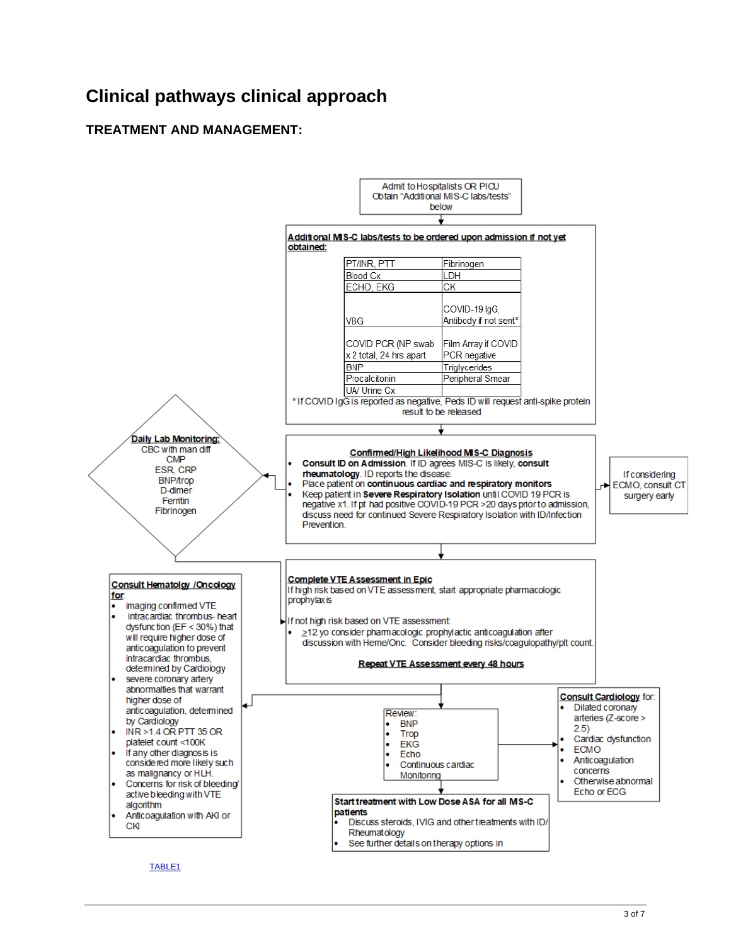# **Clinical pathways clinical approach**

### <span id="page-2-0"></span>**TREATMENT AND MANAGEMENT:**

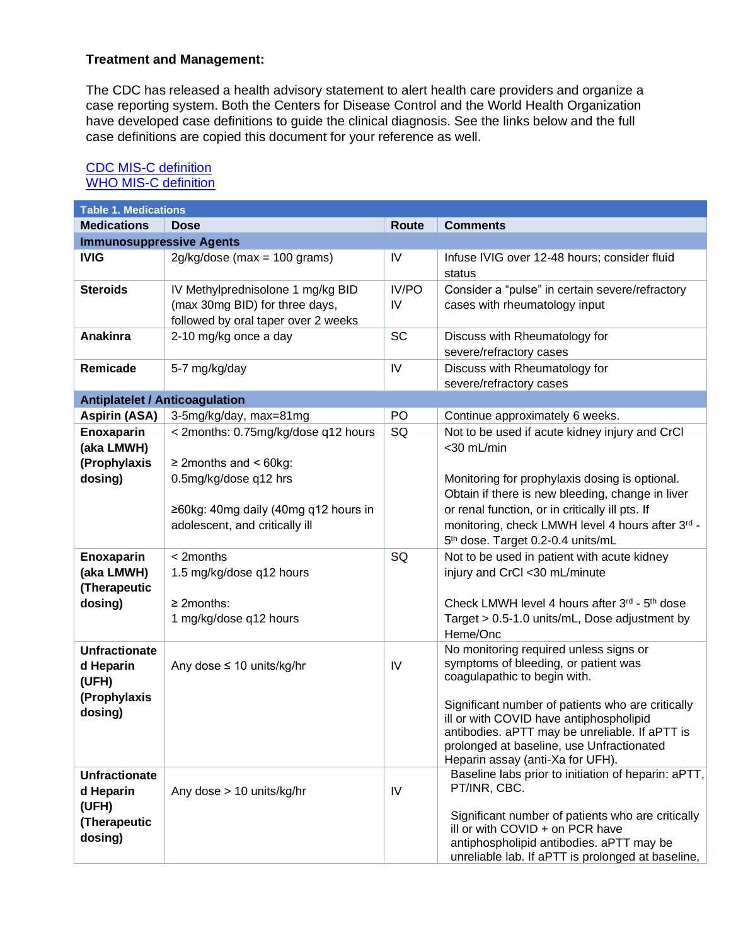#### **Treatment and Management:**

The CDC has released a health advisory statement to alert health care providers and organize a case reporting system. Both the Centers for Disease Control and the World Health Organization have developed case definitions to guide the clinical diagnosis. See the links below and the full case definitions are copied this document for your reference as well.

<span id="page-3-0"></span>

| <b>Table 1. Medications</b>                                           |                                                                                                                                      |              |                                                                                                                                                                                                                                                                                                               |  |  |
|-----------------------------------------------------------------------|--------------------------------------------------------------------------------------------------------------------------------------|--------------|---------------------------------------------------------------------------------------------------------------------------------------------------------------------------------------------------------------------------------------------------------------------------------------------------------------|--|--|
| <b>Medications</b>                                                    | <b>Dose</b>                                                                                                                          | <b>Route</b> | <b>Comments</b>                                                                                                                                                                                                                                                                                               |  |  |
| <b>Immunosuppressive Agents</b>                                       |                                                                                                                                      |              |                                                                                                                                                                                                                                                                                                               |  |  |
| <b>IVIG</b>                                                           | $2g/kg/dose$ (max = 100 grams)                                                                                                       | IV           | Infuse IVIG over 12-48 hours; consider fluid<br>status                                                                                                                                                                                                                                                        |  |  |
| <b>Steroids</b>                                                       | IV Methylprednisolone 1 mg/kg BID<br>(max 30mg BID) for three days,<br>followed by oral taper over 2 weeks                           | IV/PO<br>IV  | Consider a "pulse" in certain severe/refractory<br>cases with rheumatology input                                                                                                                                                                                                                              |  |  |
| Anakinra                                                              | 2-10 mg/kg once a day                                                                                                                | SC           | Discuss with Rheumatology for<br>severe/refractory cases                                                                                                                                                                                                                                                      |  |  |
| Remicade                                                              | 5-7 mg/kg/day                                                                                                                        | IV           | Discuss with Rheumatology for<br>severe/refractory cases                                                                                                                                                                                                                                                      |  |  |
| <b>Antiplatelet / Anticoagulation</b>                                 |                                                                                                                                      |              |                                                                                                                                                                                                                                                                                                               |  |  |
| <b>Aspirin (ASA)</b>                                                  | 3-5mg/kg/day, max=81mg                                                                                                               | <b>PO</b>    | Continue approximately 6 weeks.                                                                                                                                                                                                                                                                               |  |  |
| Enoxaparin<br>(aka LMWH)<br>(Prophylaxis<br>dosing)                   | < 2months: 0.75mg/kg/dose q12 hours<br>$\geq$ 2 months and < 60 kg:<br>0.5mg/kg/dose q12 hrs<br>≥60kg: 40mg daily (40mg q12 hours in | SQ           | Not to be used if acute kidney injury and CrCl<br><30 mL/min<br>Monitoring for prophylaxis dosing is optional.<br>Obtain if there is new bleeding, change in liver<br>or renal function, or in critically ill pts. If                                                                                         |  |  |
|                                                                       | adolescent, and critically ill                                                                                                       |              | monitoring, check LMWH level 4 hours after 3rd -<br>5th dose. Target 0.2-0.4 units/mL                                                                                                                                                                                                                         |  |  |
| Enoxaparin<br>(aka LMWH)<br>(Therapeutic<br>dosing)                   | < 2months<br>1.5 mg/kg/dose q12 hours<br>$\geq$ 2months:                                                                             | SQ           | Not to be used in patient with acute kidney<br>injury and CrCl <30 mL/minute<br>Check LMWH level 4 hours after 3rd - 5th dose                                                                                                                                                                                 |  |  |
|                                                                       | 1 mg/kg/dose q12 hours                                                                                                               |              | Target > 0.5-1.0 units/mL, Dose adjustment by<br>Heme/Onc                                                                                                                                                                                                                                                     |  |  |
| <b>Unfractionate</b><br>d Heparin<br>(UFH)<br>(Prophylaxis<br>dosing) | Any dose $\leq 10$ units/kg/hr                                                                                                       | IV           | No monitoring required unless signs or<br>symptoms of bleeding, or patient was<br>coagulapathic to begin with.<br>Significant number of patients who are critically<br>ill or with COVID have antiphospholipid<br>antibodies. aPTT may be unreliable. If aPTT is<br>prolonged at baseline, use Unfractionated |  |  |
| <b>Unfractionate</b><br>d Heparin<br>(UFH)<br>(Therapeutic<br>dosing) | Any dose > 10 units/kg/hr                                                                                                            | IV           | Heparin assay (anti-Xa for UFH).<br>Baseline labs prior to initiation of heparin: aPTT,<br>PT/INR, CBC.<br>Significant number of patients who are critically<br>ill or with COVID + on PCR have<br>antiphospholipid antibodies. aPTT may be<br>unreliable lab. If aPTT is prolonged at baseline,              |  |  |

### [CDC MIS-C definition](https://www.cdc.gov/mis-c/hcp/)  [WHO MIS-C definition](https://www.who.int/news-room/commentaries/detail/multisystem-inflammatory-syndrome-in-children-and-adolescents-with-covid-19)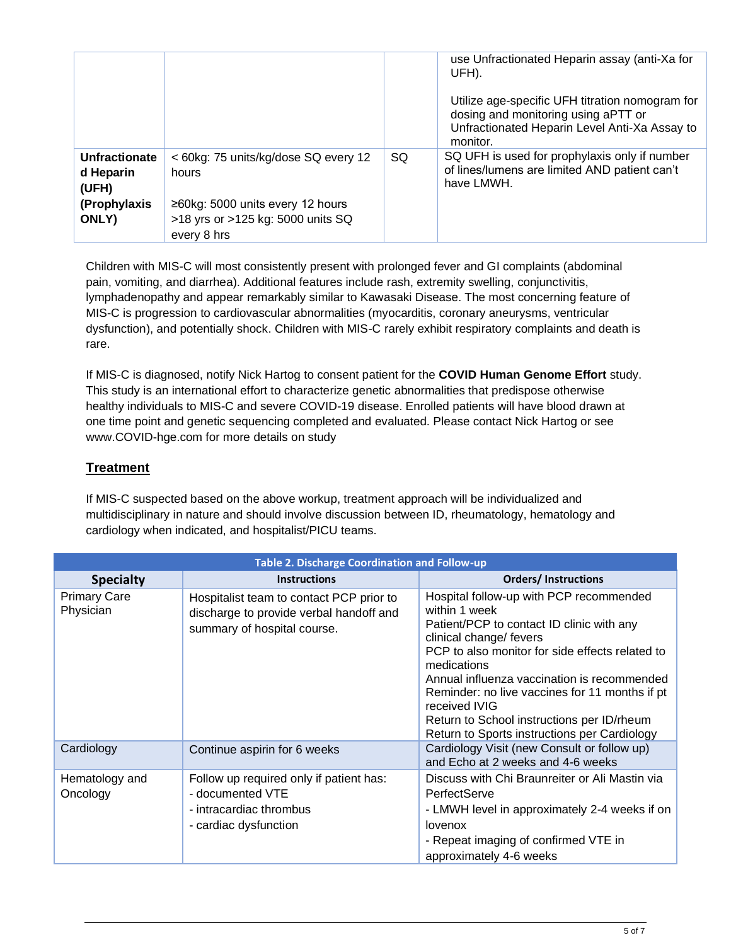|                                     |                                                                                      |    | use Unfractionated Heparin assay (anti-Xa for<br>UFH).                                                                                              |
|-------------------------------------|--------------------------------------------------------------------------------------|----|-----------------------------------------------------------------------------------------------------------------------------------------------------|
|                                     |                                                                                      |    | Utilize age-specific UFH titration nomogram for<br>dosing and monitoring using aPTT or<br>Unfractionated Heparin Level Anti-Xa Assay to<br>monitor. |
| Unfractionate<br>d Heparin<br>(UFH) | < 60kg: 75 units/kg/dose SQ every 12<br>hours                                        | SQ | SQ UFH is used for prophylaxis only if number<br>of lines/lumens are limited AND patient can't<br>have LMWH.                                        |
| (Prophylaxis<br>ONLY)               | ≥60kg: 5000 units every 12 hours<br>>18 yrs or >125 kg: 5000 units SQ<br>every 8 hrs |    |                                                                                                                                                     |

Children with MIS-C will most consistently present with prolonged fever and GI complaints (abdominal pain, vomiting, and diarrhea). Additional features include rash, extremity swelling, conjunctivitis, lymphadenopathy and appear remarkably similar to Kawasaki Disease. The most concerning feature of MIS-C is progression to cardiovascular abnormalities (myocarditis, coronary aneurysms, ventricular dysfunction), and potentially shock. Children with MIS-C rarely exhibit respiratory complaints and death is rare.

If MIS-C is diagnosed, notify Nick Hartog to consent patient for the **COVID Human Genome Effort** study. This study is an international effort to characterize genetic abnormalities that predispose otherwise healthy individuals to MIS-C and severe COVID-19 disease. Enrolled patients will have blood drawn at one time point and genetic sequencing completed and evaluated. Please contact Nick Hartog or see www.COVID-hge.com for more details on study

### **Treatment**

If MIS-C suspected based on the above workup, treatment approach will be individualized and multidisciplinary in nature and should involve discussion between ID, rheumatology, hematology and cardiology when indicated, and hospitalist/PICU teams.

| <b>Table 2. Discharge Coordination and Follow-up</b> |                                                                                                                    |                                                                                                                                                                                                                                                                                                                                                                                                                    |  |  |
|------------------------------------------------------|--------------------------------------------------------------------------------------------------------------------|--------------------------------------------------------------------------------------------------------------------------------------------------------------------------------------------------------------------------------------------------------------------------------------------------------------------------------------------------------------------------------------------------------------------|--|--|
| <b>Specialty</b>                                     | <b>Instructions</b>                                                                                                | <b>Orders/Instructions</b>                                                                                                                                                                                                                                                                                                                                                                                         |  |  |
| <b>Primary Care</b><br>Physician                     | Hospitalist team to contact PCP prior to<br>discharge to provide verbal handoff and<br>summary of hospital course. | Hospital follow-up with PCP recommended<br>within 1 week<br>Patient/PCP to contact ID clinic with any<br>clinical change/ fevers<br>PCP to also monitor for side effects related to<br>medications<br>Annual influenza vaccination is recommended<br>Reminder: no live vaccines for 11 months if pt<br>received IVIG<br>Return to School instructions per ID/rheum<br>Return to Sports instructions per Cardiology |  |  |
| Cardiology                                           | Continue aspirin for 6 weeks                                                                                       | Cardiology Visit (new Consult or follow up)<br>and Echo at 2 weeks and 4-6 weeks                                                                                                                                                                                                                                                                                                                                   |  |  |
| Hematology and<br>Oncology                           | Follow up required only if patient has:<br>- documented VTE<br>- intracardiac thrombus<br>- cardiac dysfunction    | Discuss with Chi Braunreiter or Ali Mastin via<br>PerfectServe<br>- LMWH level in approximately 2-4 weeks if on<br>lovenox<br>- Repeat imaging of confirmed VTE in<br>approximately 4-6 weeks                                                                                                                                                                                                                      |  |  |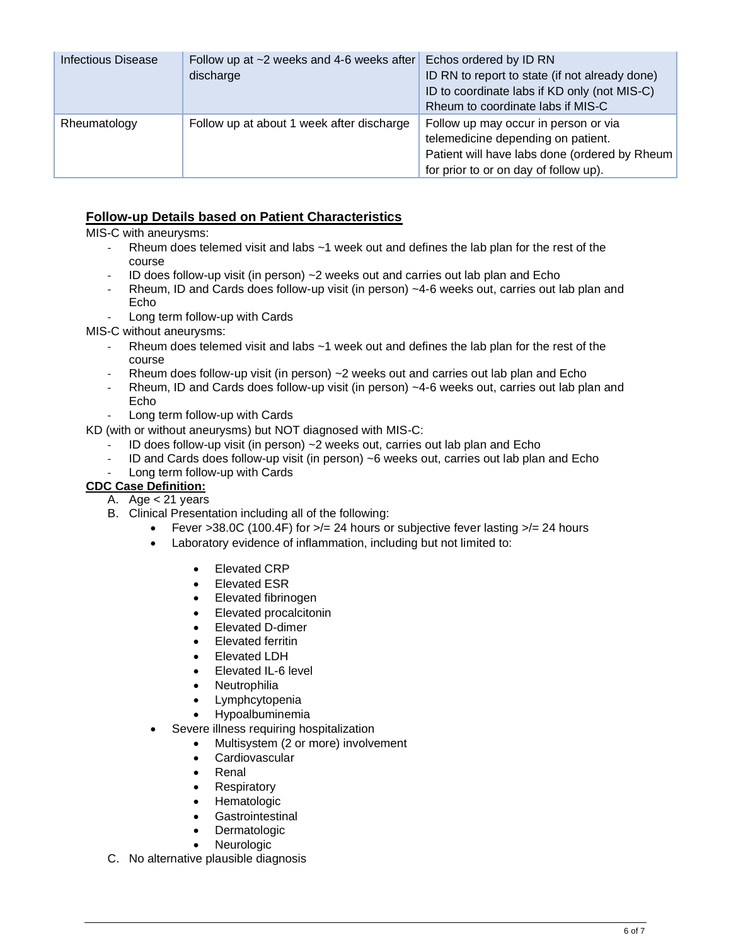| <b>Infectious Disease</b> | Follow up at ~2 weeks and 4-6 weeks after<br>discharge | Echos ordered by ID RN<br>ID RN to report to state (if not already done)<br>ID to coordinate labs if KD only (not MIS-C)<br>Rheum to coordinate labs if MIS-C        |
|---------------------------|--------------------------------------------------------|----------------------------------------------------------------------------------------------------------------------------------------------------------------------|
| Rheumatology              | Follow up at about 1 week after discharge              | Follow up may occur in person or via<br>telemedicine depending on patient.<br>Patient will have labs done (ordered by Rheum<br>for prior to or on day of follow up). |

#### **Follow-up Details based on Patient Characteristics**

MIS-C with aneurysms:

- Rheum does telemed visit and labs  $~1$  week out and defines the lab plan for the rest of the course
- ID does follow-up visit (in person) ~2 weeks out and carries out lab plan and Echo
- Rheum, ID and Cards does follow-up visit (in person) ~4-6 weeks out, carries out lab plan and Echo
- Long term follow-up with Cards

MIS-C without aneurysms:

- Rheum does telemed visit and labs  $~1$  week out and defines the lab plan for the rest of the course
- Rheum does follow-up visit (in person) ~2 weeks out and carries out lab plan and Echo
- Rheum, ID and Cards does follow-up visit (in person) ~4-6 weeks out, carries out lab plan and Echo
- Long term follow-up with Cards
- KD (with or without aneurysms) but NOT diagnosed with MIS-C:
	- ID does follow-up visit (in person) ~2 weeks out, carries out lab plan and Echo
	- ID and Cards does follow-up visit (in person) ~6 weeks out, carries out lab plan and Echo
	- Long term follow-up with Cards

#### **CDC Case Definition:**

- A. Age < 21 years
- B. Clinical Presentation including all of the following:
	- Fever >38.0C (100.4F) for  $\ge$  = 24 hours or subjective fever lasting  $\ge$  = 24 hours
	- Laboratory evidence of inflammation, including but not limited to:
		- Elevated CRP
		- Elevated ESR
		- Elevated fibrinogen
		- Elevated procalcitonin
		- Elevated D-dimer
		- Elevated ferritin
		- Elevated LDH
		- Elevated IL-6 level
		- Neutrophilia
		- Lymphcytopenia
		- Hypoalbuminemia
	- Severe illness requiring hospitalization
		- Multisystem (2 or more) involvement
		- Cardiovascular
		- Renal
		- **Respiratory**
		- **Hematologic**
		- **Gastrointestinal**
		- **Dermatologic**
		- **Neurologic**
- C. No alternative plausible diagnosis